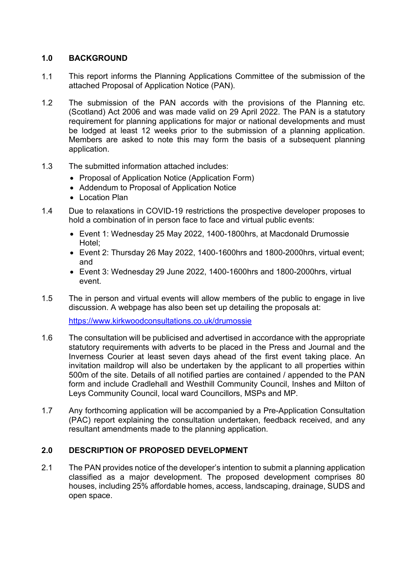# **1.0 BACKGROUND**

- 1.1 This report informs the Planning Applications Committee of the submission of the attached Proposal of Application Notice (PAN).
- 1.2 The submission of the PAN accords with the provisions of the Planning etc. (Scotland) Act 2006 and was made valid on 29 April 2022. The PAN is a statutory requirement for planning applications for major or national developments and must be lodged at least 12 weeks prior to the submission of a planning application. Members are asked to note this may form the basis of a subsequent planning application.
- 1.3 The submitted information attached includes:
	- Proposal of Application Notice (Application Form)
	- Addendum to Proposal of Application Notice
	- Location Plan
- 1.4 Due to relaxations in COVID-19 restrictions the prospective developer proposes to hold a combination of in person face to face and virtual public events:
	- Event 1: Wednesday 25 May 2022, 1400-1800hrs, at Macdonald Drumossie Hotel;
	- Event 2: Thursday 26 May 2022, 1400-1600hrs and 1800-2000hrs, virtual event; and
	- Event 3: Wednesday 29 June 2022, 1400-1600hrs and 1800-2000hrs, virtual event.
- 1.5 The in person and virtual events will allow members of the public to engage in live discussion. A webpage has also been set up detailing the proposals at:

<https://www.kirkwoodconsultations.co.uk/drumossie>

- 1.6 The consultation will be publicised and advertised in accordance with the appropriate statutory requirements with adverts to be placed in the Press and Journal and the Inverness Courier at least seven days ahead of the first event taking place. An invitation maildrop will also be undertaken by the applicant to all properties within 500m of the site. Details of all notified parties are contained / appended to the PAN form and include Cradlehall and Westhill Community Council, Inshes and Milton of Leys Community Council, local ward Councillors, MSPs and MP.
- 1.7 Any forthcoming application will be accompanied by a Pre-Application Consultation (PAC) report explaining the consultation undertaken, feedback received, and any resultant amendments made to the planning application.

#### **2.0 DESCRIPTION OF PROPOSED DEVELOPMENT**

2.1 The PAN provides notice of the developer's intention to submit a planning application classified as a major development. The proposed development comprises 80 houses, including 25% affordable homes, access, landscaping, drainage, SUDS and open space.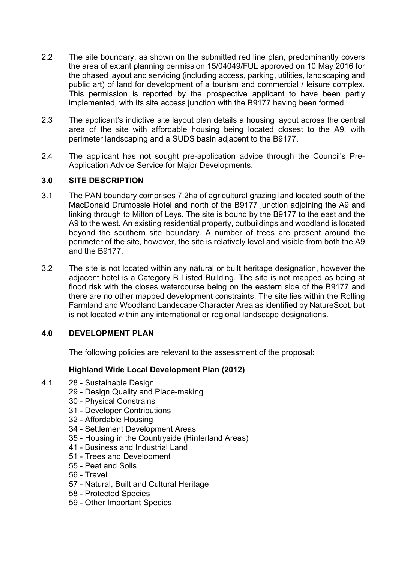- 2.2 The site boundary, as shown on the submitted red line plan, predominantly covers the area of extant planning permission 15/04049/FUL approved on 10 May 2016 for the phased layout and servicing (including access, parking, utilities, landscaping and public art) of land for development of a tourism and commercial / leisure complex. This permission is reported by the prospective applicant to have been partly implemented, with its site access junction with the B9177 having been formed.
- 2.3 The applicant's indictive site layout plan details a housing layout across the central area of the site with affordable housing being located closest to the A9, with perimeter landscaping and a SUDS basin adjacent to the B9177.
- 2.4 The applicant has not sought pre-application advice through the Council's Pre-Application Advice Service for Major Developments.

### **3.0 SITE DESCRIPTION**

- 3.1 The PAN boundary comprises 7.2ha of agricultural grazing land located south of the MacDonald Drumossie Hotel and north of the B9177 junction adjoining the A9 and linking through to Milton of Leys. The site is bound by the B9177 to the east and the A9 to the west. An existing residential property, outbuildings and woodland is located beyond the southern site boundary. A number of trees are present around the perimeter of the site, however, the site is relatively level and visible from both the A9 and the B9177.
- 3.2 The site is not located within any natural or built heritage designation, however the adjacent hotel is a Category B Listed Building. The site is not mapped as being at flood risk with the closes watercourse being on the eastern side of the B9177 and there are no other mapped development constraints. The site lies within the Rolling Farmland and Woodland Landscape Character Area as identified by NatureScot, but is not located within any international or regional landscape designations.

# **4.0 DEVELOPMENT PLAN**

The following policies are relevant to the assessment of the proposal:

#### **Highland Wide Local Development Plan (2012)**

- 4.1 28 Sustainable Design
	- 29 Design Quality and Place-making
	- 30 Physical Constrains
	- 31 Developer Contributions
	- 32 Affordable Housing
	- 34 Settlement Development Areas
	- 35 Housing in the Countryside (Hinterland Areas)
	- 41 Business and Industrial Land
	- 51 Trees and Development
	- 55 Peat and Soils
	- 56 Travel
	- 57 Natural, Built and Cultural Heritage
	- 58 Protected Species
	- 59 Other Important Species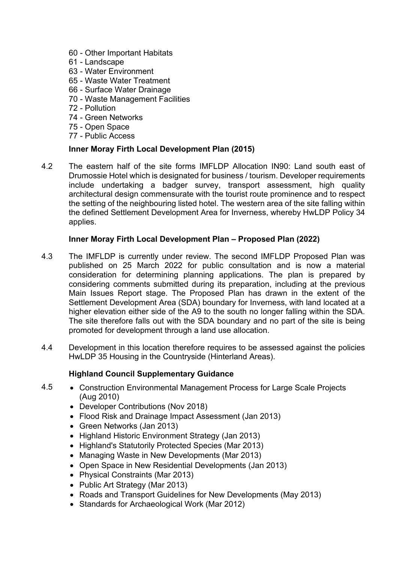- 60 Other Important Habitats
- 61 Landscape
- 63 Water Environment
- 65 Waste Water Treatment
- 66 Surface Water Drainage
- 70 Waste Management Facilities
- 72 Pollution
- 74 Green Networks
- 75 Open Space
- 77 Public Access

### **Inner Moray Firth Local Development Plan (2015)**

4.2 The eastern half of the site forms IMFLDP Allocation IN90: Land south east of Drumossie Hotel which is designated for business / tourism. Developer requirements include undertaking a badger survey, transport assessment, high quality architectural design commensurate with the tourist route prominence and to respect the setting of the neighbouring listed hotel. The western area of the site falling within the defined Settlement Development Area for Inverness, whereby HwLDP Policy 34 applies.

### **Inner Moray Firth Local Development Plan – Proposed Plan (2022)**

- 4.3 The IMFLDP is currently under review. The second IMFLDP Proposed Plan was published on 25 March 2022 for public consultation and is now a material consideration for determining planning applications. The plan is prepared by considering comments submitted during its preparation, including at the previous Main Issues Report stage. The Proposed Plan has drawn in the extent of the Settlement Development Area (SDA) boundary for Inverness, with land located at a higher elevation either side of the A9 to the south no longer falling within the SDA. The site therefore falls out with the SDA boundary and no part of the site is being promoted for development through a land use allocation.
- 4.4 Development in this location therefore requires to be assessed against the policies HwLDP 35 Housing in the Countryside (Hinterland Areas).

# **Highland Council Supplementary Guidance**

- 4.5 Construction Environmental Management Process for Large Scale Projects (Aug 2010)
	- Developer Contributions (Nov 2018)
	- Flood Risk and Drainage Impact Assessment (Jan 2013)
	- Green Networks (Jan 2013)
	- Highland Historic Environment Strategy (Jan 2013)
	- Highland's Statutorily Protected Species (Mar 2013)
	- Managing Waste in New Developments (Mar 2013)
	- Open Space in New Residential Developments (Jan 2013)
	- Physical Constraints (Mar 2013)
	- Public Art Strategy (Mar 2013)
	- Roads and Transport Guidelines for New Developments (May 2013)
	- Standards for Archaeological Work (Mar 2012)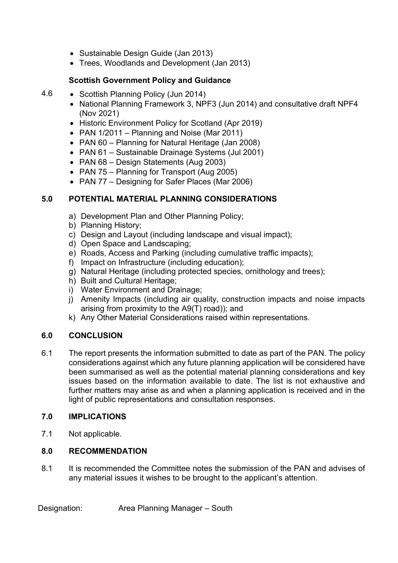- Sustainable Design Guide (Jan 2013)
- Trees, Woodlands and Development (Jan 2013)

### **Scottish Government Policy and Guidance**

- 4.6 Scottish Planning Policy (Jun 2014)
	- National Planning Framework 3, NPF3 (Jun 2014) and consultative draft NPF4 (Nov 2021)
	- Historic Environment Policy for Scotland (Apr 2019)
	- PAN 1/2011 Planning and Noise (Mar 2011)
	- PAN 60 Planning for Natural Heritage (Jan 2008)
	- PAN 61 Sustainable Drainage Systems (Jul 2001)
	- PAN 68 Design Statements (Aug 2003)
	- PAN 75 Planning for Transport (Aug 2005)
	- PAN 77 Designing for Safer Places (Mar 2006)

### **5.0 POTENTIAL MATERIAL PLANNING CONSIDERATIONS**

- a) Development Plan and Other Planning Policy;
- b) Planning History;
- c) Design and Layout (including landscape and visual impact);
- d) Open Space and Landscaping;
- e) Roads, Access and Parking (including cumulative traffic impacts);
- f) Impact on Infrastructure (including education);
- g) Natural Heritage (including protected species, ornithology and trees);
- h) Built and Cultural Heritage;
- i) Water Environment and Drainage:
- j) Amenity Impacts (including air quality, construction impacts and noise impacts arising from proximity to the A9(T) road)); and
- k) Any Other Material Considerations raised within representations.

# **6.0 CONCLUSION**

6.1 The report presents the information submitted to date as part of the PAN. The policy considerations against which any future planning application will be considered have been summarised as well as the potential material planning considerations and key issues based on the information available to date. The list is not exhaustive and further matters may arise as and when a planning application is received and in the light of public representations and consultation responses.

# **7.0 IMPLICATIONS**

7.1 Not applicable.

### **8.0 RECOMMENDATION**

8.1 It is recommended the Committee notes the submission of the PAN and advises of any material issues it wishes to be brought to the applicant's attention.

Designation: Area Planning Manager – South